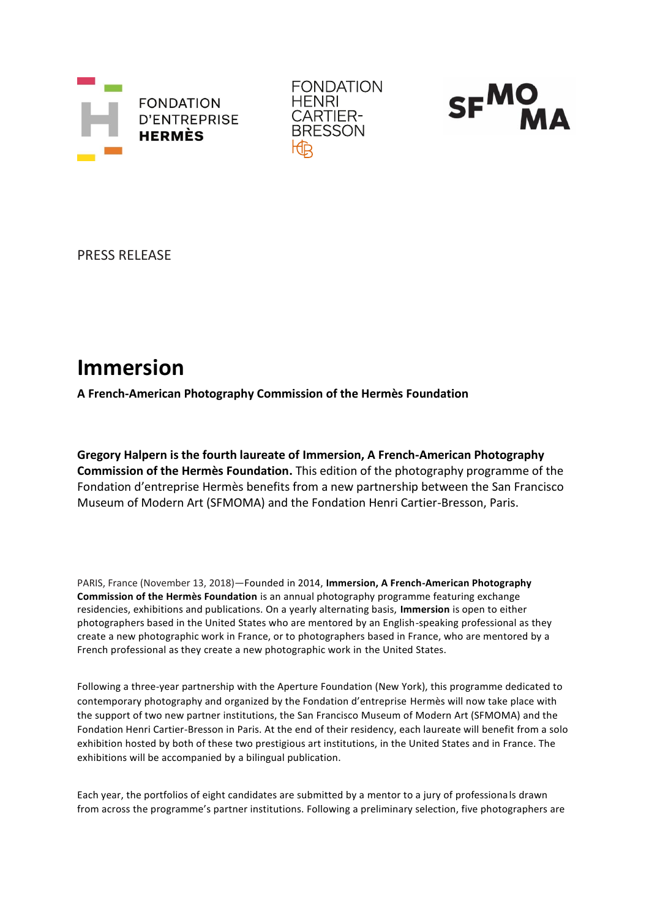





PRESS RELEASE

# **Immersion**

**A French-American Photography Commission of the Hermès Foundation**

**Gregory Halpern is the fourth laureate of Immersion, A French-American Photography Commission of the Hermès Foundation.** This edition of the photography programme of the Fondation d'entreprise Hermès benefits from a new partnership between the San Francisco Museum of Modern Art (SFMOMA) and the Fondation Henri Cartier-Bresson, Paris.

PARIS, France (November 13, 2018)—Founded in 2014, **Immersion, A French-American Photography Commission of the Hermès Foundation** is an annual photography programme featuring exchange residencies, exhibitions and publications. On a yearly alternating basis, **Immersion** is open to either photographers based in the United States who are mentored by an English-speaking professional as they create a new photographic work in France, or to photographers based in France, who are mentored by a French professional as they create a new photographic work in the United States.

Following a three-year partnership with the Aperture Foundation (New York), this programme dedicated to contemporary photography and organized by the Fondation d'entreprise Hermès will now take place with the support of two new partner institutions, the San Francisco Museum of Modern Art (SFMOMA) and the Fondation Henri Cartier-Bresson in Paris. At the end of their residency, each laureate will benefit from a solo exhibition hosted by both of these two prestigious art institutions, in the United States and in France. The exhibitions will be accompanied by a bilingual publication.

Each year, the portfolios of eight candidates are submitted by a mentor to a jury of professionals drawn from across the programme's partner institutions. Following a preliminary selection, five photographers are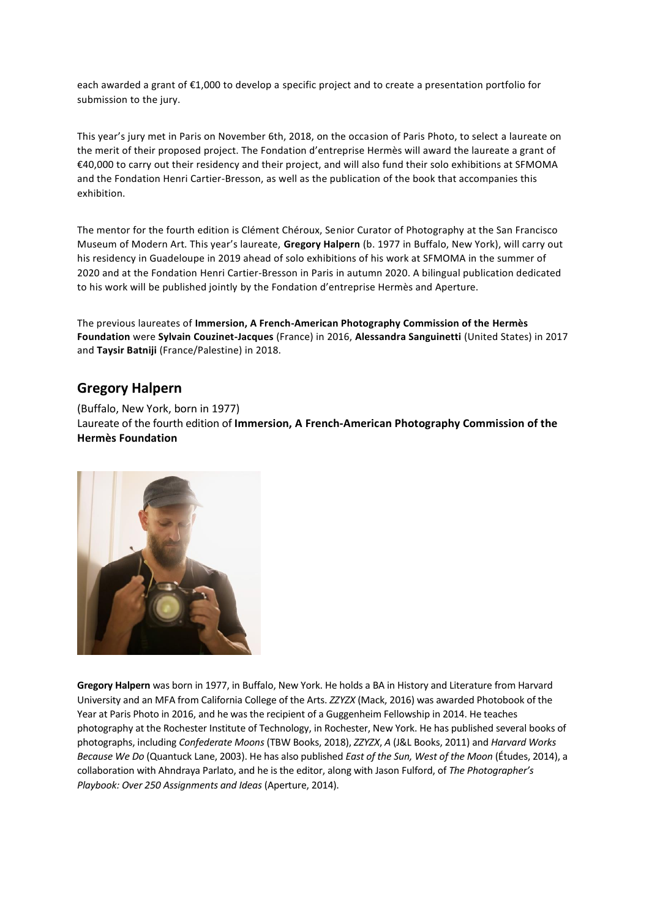each awarded a grant of €1,000 to develop a specific project and to create a presentation portfolio for submission to the jury.

This year's jury met in Paris on November 6th, 2018, on the occasion of Paris Photo, to select a laureate on the merit of their proposed project. The Fondation d'entreprise Hermès will award the laureate a grant of €40,000 to carry out their residency and their project, and will also fund their solo exhibitions at SFMOMA and the Fondation Henri Cartier-Bresson, as well as the publication of the book that accompanies this exhibition.

The mentor for the fourth edition is Clément Chéroux, Senior Curator of Photography at the San Francisco Museum of Modern Art. This year's laureate, **Gregory Halpern** (b. 1977 in Buffalo, New York), will carry out his residency in Guadeloupe in 2019 ahead of solo exhibitions of his work at SFMOMA in the summer of 2020 and at the Fondation Henri Cartier-Bresson in Paris in autumn 2020. A bilingual publication dedicated to his work will be published jointly by the Fondation d'entreprise Hermès and Aperture.

The previous laureates of **Immersion, A French-American Photography Commission of the Hermès Foundation** were **Sylvain Couzinet-Jacques** (France) in 2016, **Alessandra Sanguinetti** (United States) in 2017 and **Taysir Batniji** (France/Palestine) in 2018.

# **Gregory Halpern**

(Buffalo, New York, born in 1977) Laureate of the fourth edition of **Immersion, A French-American Photography Commission of the Hermès Foundation**



**Gregory Halpern** was born in 1977, in Buffalo, New York. He holds a BA in History and Literature from Harvard University and an MFA from California College of the Arts. *ZZYZX* (Mack, 2016) was awarded Photobook of the Year at Paris Photo in 2016, and he was the recipient of a Guggenheim Fellowship in 2014. He teaches photography at the Rochester Institute of Technology, in Rochester, New York. He has published several books of photographs, including *Confederate Moons* (TBW Books, 2018), *ZZYZX*, *A* (J&L Books, 2011) and *Harvard Works Because We Do* (Quantuck Lane, 2003). He has also published *East of the Sun, West of the Moon* (Études, 2014), a collaboration with Ahndraya Parlato, and he is the editor, along with Jason Fulford, of *The Photographer's Playbook: Over 250 Assignments and Ideas* (Aperture, 2014).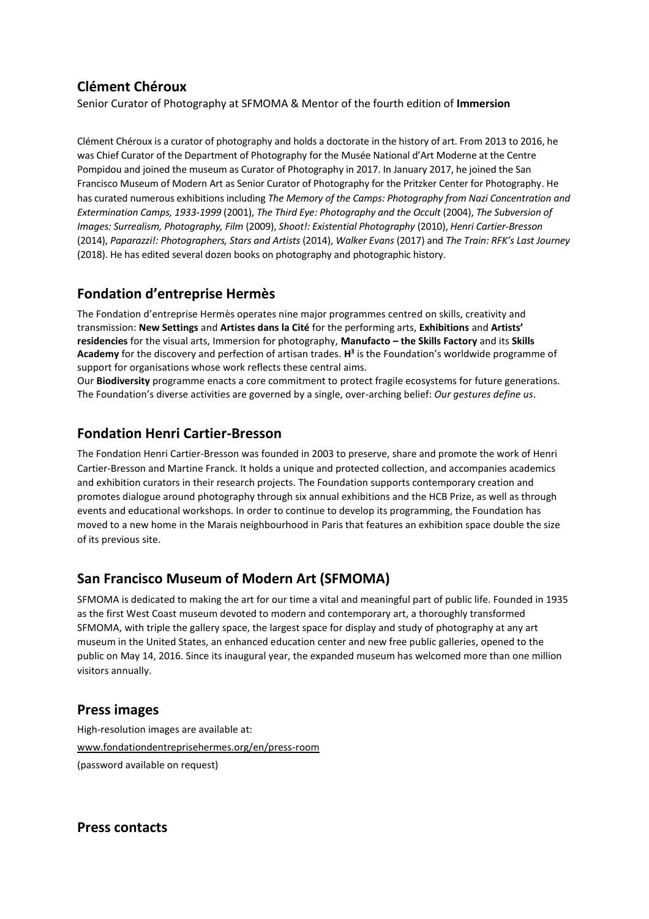# **Clément Chéroux**

Senior Curator of Photography at SFMOMA & Mentor of the fourth edition of **Immersion**

Clément Chéroux is a curator of photography and holds a doctorate in the history of art. From 2013 to 2016, he was Chief Curator of the Department of Photography for the Musée National d'Art Moderne at the Centre Pompidou and joined the museum as Curator of Photography in 2017. In January 2017, he joined the San Francisco Museum of Modern Art as Senior Curator of Photography for the Pritzker Center for Photography. He has curated numerous exhibitions including *The Memory of the Camps: Photography from Nazi Concentration and Extermination Camps, 1933-1999* (2001), *The Third Eye: Photography and the Occult* (2004), *The Subversion of Images: Surrealism, Photography, Film* (2009), *Shoot!: Existential Photography* (2010), *Henri Cartier-Bresson* (2014), *Paparazzi!: Photographers, Stars and Artists* (2014), *Walker Evans* (2017) and *The Train: RFK's Last Journey*  (2018). He has edited several dozen books on photography and photographic history.

# **Fondation d'entreprise Hermès**

The Fondation d'entreprise Hermès operates nine major programmes centred on skills, creativity and transmission: **New Settings** and **Artistes dans la Cité** for the performing arts, **Exhibitions** and **Artists' residencies** for the visual arts, Immersion for photography, **Manufacto – the Skills Factory** and its **Skills Academy** for the discovery and perfection of artisan trades. **H 3** is the Foundation's worldwide programme of support for organisations whose work reflects these central aims.

Our **Biodiversity** programme enacts a core commitment to protect fragile ecosystems for future generations. The Foundation's diverse activities are governed by a single, over-arching belief: *Our gestures define us*.

## **Fondation Henri Cartier-Bresson**

The Fondation Henri Cartier-Bresson was founded in 2003 to preserve, share and promote the work of Henri Cartier-Bresson and Martine Franck. It holds a unique and protected collection, and accompanies academics and exhibition curators in their research projects. The Foundation supports contemporary creation and promotes dialogue around photography through six annual exhibitions and the HCB Prize, as well as through events and educational workshops. In order to continue to develop its programming, the Foundation has moved to a new home in the Marais neighbourhood in Paris that features an exhibition space double the size of its previous site.

# **San Francisco Museum of Modern Art (SFMOMA)**

SFMOMA is dedicated to making the art for our time a vital and meaningful part of public life. Founded in 1935 as the first West Coast museum devoted to modern and contemporary art, a thoroughly transformed SFMOMA, with triple the gallery space, the largest space for display and study of photography at any art museum in the United States, an enhanced education center and new free public galleries, opened to the public on May 14, 2016. Since its inaugural year, the expanded museum has welcomed more than one million visitors annually.

## **Press images**

High-resolution images are available at: www.fondationdentreprisehermes.org/en/press-room (password available on request)

**Press contacts**